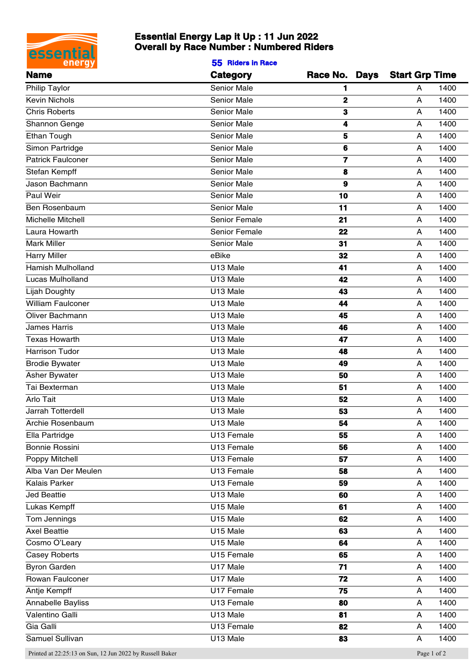

## **Essential Energy Lap it Up : 11 Jun 2022 Overall by Race Number : Numbered Riders**

**55 Riders in Race**

| <b>Name</b>              | <b>Category</b>        | Race No. Days Start Grp Time |           |
|--------------------------|------------------------|------------------------------|-----------|
| Philip Taylor            | Senior Male            |                              | 1400<br>A |
| Kevin Nichols            | Senior Male            | $\mathbf{2}$                 | 1400<br>Α |
| <b>Chris Roberts</b>     | Senior Male            | $\bf{3}$                     | 1400<br>Α |
| Shannon Genge            | Senior Male            | 4                            | 1400<br>Α |
| Ethan Tough              | Senior Male            | 5                            | 1400<br>A |
| Simon Partridge          | Senior Male            | $\bf 6$                      | 1400<br>A |
| <b>Patrick Faulconer</b> | Senior Male            | $\overline{\mathbf{z}}$      | 1400<br>Α |
| Stefan Kempff            | Senior Male            | 8                            | 1400<br>Α |
| Jason Bachmann           | Senior Male            | $\boldsymbol{9}$             | 1400<br>A |
| Paul Weir                | Senior Male            | 10                           | 1400<br>A |
| Ben Rosenbaum            | Senior Male            | 11                           | 1400<br>Α |
| Michelle Mitchell        | Senior Female          | 21                           | 1400<br>Α |
| Laura Howarth            | Senior Female          | 22                           | 1400<br>A |
| <b>Mark Miller</b>       | Senior Male            | 31                           | 1400<br>A |
| <b>Harry Miller</b>      | eBike                  | 32                           | 1400<br>A |
| Hamish Mulholland        | U13 Male               | 41                           | 1400<br>A |
| Lucas Mulholland         | U13 Male               | 42                           | 1400<br>Α |
| <b>Lijah Doughty</b>     | U13 Male               | 43                           | 1400<br>Α |
| William Faulconer        | U13 Male               | 44                           | 1400<br>A |
| Oliver Bachmann          | U13 Male               | 45                           | 1400<br>A |
| James Harris             | U13 Male               | 46                           | 1400<br>Α |
| <b>Texas Howarth</b>     | U13 Male               | 47                           | 1400<br>Α |
| Harrison Tudor           | U13 Male               | 48                           | 1400<br>Α |
| <b>Brodie Bywater</b>    | U13 Male               | 49                           | 1400<br>A |
| Asher Bywater            | U13 Male               | 50                           | 1400<br>A |
| Tai Bexterman            | U13 Male               | 51                           | 1400<br>Α |
| Arlo Tait                | U13 Male               | 52                           | 1400<br>Α |
| Jarrah Totterdell        | U13 Male               | 53                           | 1400<br>A |
| Archie Rosenbaum         | U13 Male               | 54                           | 1400<br>A |
| Ella Partridge           | U13 Female             | 55                           | 1400<br>A |
| Bonnie Rossini           | U13 Female             | 56                           | 1400<br>Α |
| Poppy Mitchell           | U13 Female             |                              | 1400      |
|                          |                        | ${\bf 57}$                   | A         |
| Alba Van Der Meulen      | U13 Female             | 58                           | 1400<br>A |
| Kalais Parker            | U13 Female             | 59                           | 1400<br>A |
| Jed Beattie              | U13 Male               | 60                           | 1400<br>Α |
| Lukas Kempff             | U15 Male               | 61                           | 1400<br>A |
| Tom Jennings             | $\overline{U}$ 15 Male | 62                           | 1400<br>Α |
| <b>Axel Beattie</b>      | U15 Male               | 63                           | 1400<br>A |
| Cosmo O'Leary            | U15 Male               | 64                           | 1400<br>A |
| <b>Casey Roberts</b>     | U15 Female             | 65                           | 1400<br>A |
| <b>Byron Garden</b>      | U17 Male               | 71                           | 1400<br>A |
| Rowan Faulconer          | U17 Male               | 72                           | 1400<br>A |
| Antje Kempff             | U17 Female             | 75                           | 1400<br>Α |
| Annabelle Bayliss        | U13 Female             | 80                           | 1400<br>A |
| Valentino Galli          | $\overline{U}$ 13 Male | 81                           | 1400<br>A |
| Gia Galli                | U13 Female             | 82                           | 1400<br>A |
| Samuel Sullivan          | U13 Male               | 83                           | 1400<br>A |
|                          |                        |                              |           |